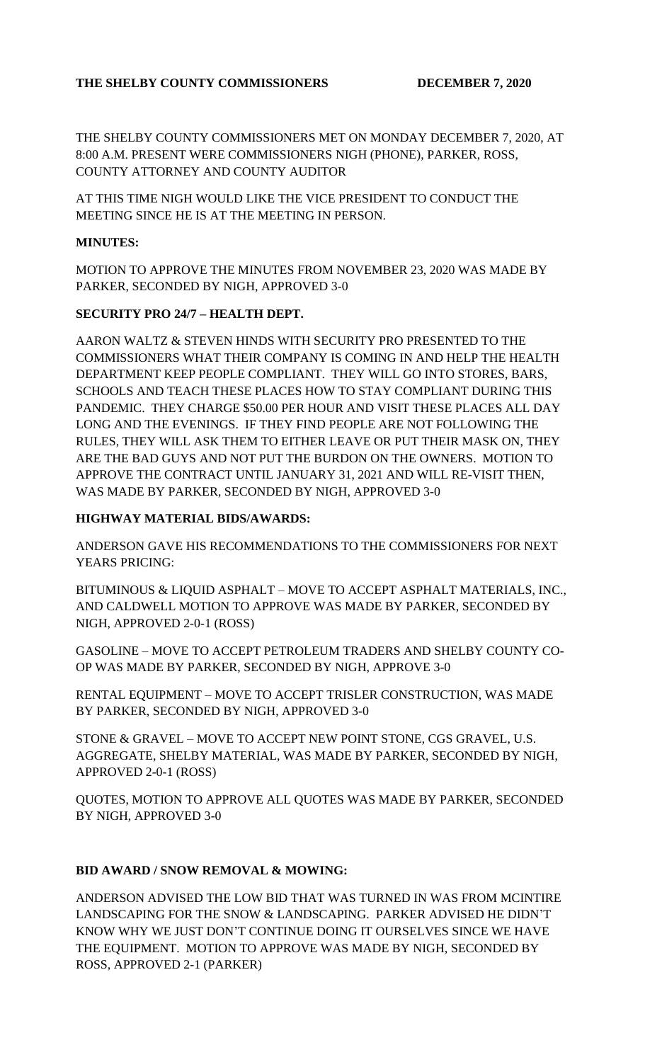## THE SHELBY COUNTY COMMISSIONERS DECEMBER 7, 2020

THE SHELBY COUNTY COMMISSIONERS MET ON MONDAY DECEMBER 7, 2020, AT 8:00 A.M. PRESENT WERE COMMISSIONERS NIGH (PHONE), PARKER, ROSS, COUNTY ATTORNEY AND COUNTY AUDITOR

AT THIS TIME NIGH WOULD LIKE THE VICE PRESIDENT TO CONDUCT THE MEETING SINCE HE IS AT THE MEETING IN PERSON.

#### **MINUTES:**

MOTION TO APPROVE THE MINUTES FROM NOVEMBER 23, 2020 WAS MADE BY PARKER, SECONDED BY NIGH, APPROVED 3-0

## **SECURITY PRO 24/7 – HEALTH DEPT.**

AARON WALTZ & STEVEN HINDS WITH SECURITY PRO PRESENTED TO THE COMMISSIONERS WHAT THEIR COMPANY IS COMING IN AND HELP THE HEALTH DEPARTMENT KEEP PEOPLE COMPLIANT. THEY WILL GO INTO STORES, BARS, SCHOOLS AND TEACH THESE PLACES HOW TO STAY COMPLIANT DURING THIS PANDEMIC. THEY CHARGE \$50.00 PER HOUR AND VISIT THESE PLACES ALL DAY LONG AND THE EVENINGS. IF THEY FIND PEOPLE ARE NOT FOLLOWING THE RULES, THEY WILL ASK THEM TO EITHER LEAVE OR PUT THEIR MASK ON, THEY ARE THE BAD GUYS AND NOT PUT THE BURDON ON THE OWNERS. MOTION TO APPROVE THE CONTRACT UNTIL JANUARY 31, 2021 AND WILL RE-VISIT THEN, WAS MADE BY PARKER, SECONDED BY NIGH, APPROVED 3-0

### **HIGHWAY MATERIAL BIDS/AWARDS:**

ANDERSON GAVE HIS RECOMMENDATIONS TO THE COMMISSIONERS FOR NEXT YEARS PRICING:

BITUMINOUS & LIQUID ASPHALT – MOVE TO ACCEPT ASPHALT MATERIALS, INC., AND CALDWELL MOTION TO APPROVE WAS MADE BY PARKER, SECONDED BY NIGH, APPROVED 2-0-1 (ROSS)

GASOLINE – MOVE TO ACCEPT PETROLEUM TRADERS AND SHELBY COUNTY CO-OP WAS MADE BY PARKER, SECONDED BY NIGH, APPROVE 3-0

RENTAL EQUIPMENT – MOVE TO ACCEPT TRISLER CONSTRUCTION, WAS MADE BY PARKER, SECONDED BY NIGH, APPROVED 3-0

STONE & GRAVEL – MOVE TO ACCEPT NEW POINT STONE, CGS GRAVEL, U.S. AGGREGATE, SHELBY MATERIAL, WAS MADE BY PARKER, SECONDED BY NIGH, APPROVED 2-0-1 (ROSS)

QUOTES, MOTION TO APPROVE ALL QUOTES WAS MADE BY PARKER, SECONDED BY NIGH, APPROVED 3-0

## **BID AWARD / SNOW REMOVAL & MOWING:**

ANDERSON ADVISED THE LOW BID THAT WAS TURNED IN WAS FROM MCINTIRE LANDSCAPING FOR THE SNOW & LANDSCAPING. PARKER ADVISED HE DIDN'T KNOW WHY WE JUST DON'T CONTINUE DOING IT OURSELVES SINCE WE HAVE THE EQUIPMENT. MOTION TO APPROVE WAS MADE BY NIGH, SECONDED BY ROSS, APPROVED 2-1 (PARKER)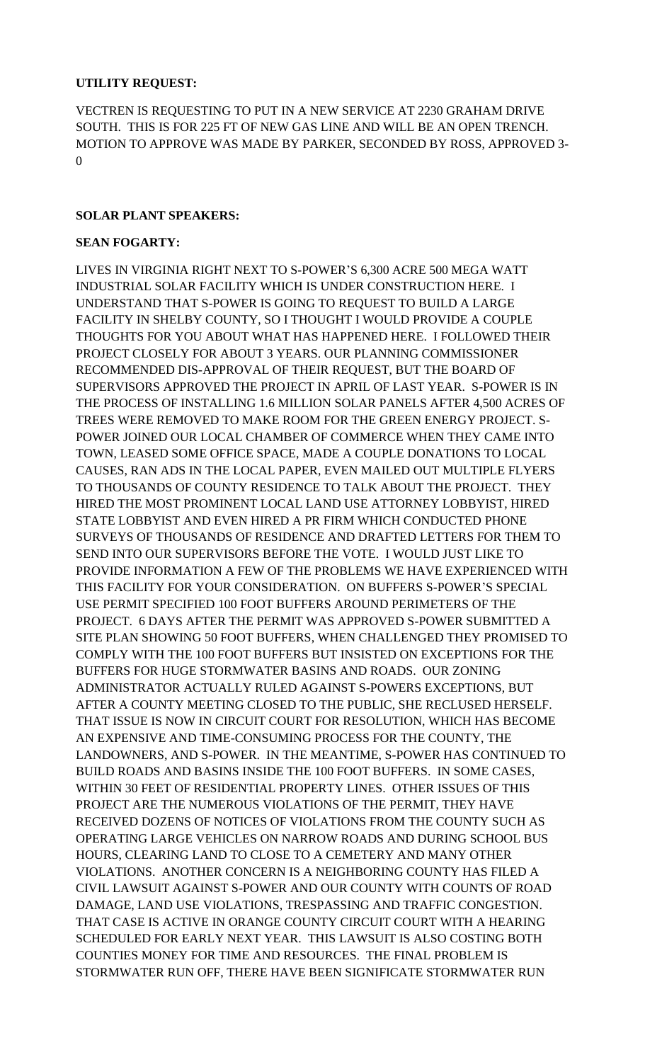### **UTILITY REQUEST:**

VECTREN IS REQUESTING TO PUT IN A NEW SERVICE AT 2230 GRAHAM DRIVE SOUTH. THIS IS FOR 225 FT OF NEW GAS LINE AND WILL BE AN OPEN TRENCH. MOTION TO APPROVE WAS MADE BY PARKER, SECONDED BY ROSS, APPROVED 3- 0

### **SOLAR PLANT SPEAKERS:**

#### **SEAN FOGARTY:**

LIVES IN VIRGINIA RIGHT NEXT TO S-POWER'S 6,300 ACRE 500 MEGA WATT INDUSTRIAL SOLAR FACILITY WHICH IS UNDER CONSTRUCTION HERE. I UNDERSTAND THAT S-POWER IS GOING TO REQUEST TO BUILD A LARGE FACILITY IN SHELBY COUNTY, SO I THOUGHT I WOULD PROVIDE A COUPLE THOUGHTS FOR YOU ABOUT WHAT HAS HAPPENED HERE. I FOLLOWED THEIR PROJECT CLOSELY FOR ABOUT 3 YEARS. OUR PLANNING COMMISSIONER RECOMMENDED DIS-APPROVAL OF THEIR REQUEST, BUT THE BOARD OF SUPERVISORS APPROVED THE PROJECT IN APRIL OF LAST YEAR. S-POWER IS IN THE PROCESS OF INSTALLING 1.6 MILLION SOLAR PANELS AFTER 4,500 ACRES OF TREES WERE REMOVED TO MAKE ROOM FOR THE GREEN ENERGY PROJECT. S-POWER JOINED OUR LOCAL CHAMBER OF COMMERCE WHEN THEY CAME INTO TOWN, LEASED SOME OFFICE SPACE, MADE A COUPLE DONATIONS TO LOCAL CAUSES, RAN ADS IN THE LOCAL PAPER, EVEN MAILED OUT MULTIPLE FLYERS TO THOUSANDS OF COUNTY RESIDENCE TO TALK ABOUT THE PROJECT. THEY HIRED THE MOST PROMINENT LOCAL LAND USE ATTORNEY LOBBYIST, HIRED STATE LOBBYIST AND EVEN HIRED A PR FIRM WHICH CONDUCTED PHONE SURVEYS OF THOUSANDS OF RESIDENCE AND DRAFTED LETTERS FOR THEM TO SEND INTO OUR SUPERVISORS BEFORE THE VOTE. I WOULD JUST LIKE TO PROVIDE INFORMATION A FEW OF THE PROBLEMS WE HAVE EXPERIENCED WITH THIS FACILITY FOR YOUR CONSIDERATION. ON BUFFERS S-POWER'S SPECIAL USE PERMIT SPECIFIED 100 FOOT BUFFERS AROUND PERIMETERS OF THE PROJECT. 6 DAYS AFTER THE PERMIT WAS APPROVED S-POWER SUBMITTED A SITE PLAN SHOWING 50 FOOT BUFFERS, WHEN CHALLENGED THEY PROMISED TO COMPLY WITH THE 100 FOOT BUFFERS BUT INSISTED ON EXCEPTIONS FOR THE BUFFERS FOR HUGE STORMWATER BASINS AND ROADS. OUR ZONING ADMINISTRATOR ACTUALLY RULED AGAINST S-POWERS EXCEPTIONS, BUT AFTER A COUNTY MEETING CLOSED TO THE PUBLIC, SHE RECLUSED HERSELF. THAT ISSUE IS NOW IN CIRCUIT COURT FOR RESOLUTION, WHICH HAS BECOME AN EXPENSIVE AND TIME-CONSUMING PROCESS FOR THE COUNTY, THE LANDOWNERS, AND S-POWER. IN THE MEANTIME, S-POWER HAS CONTINUED TO BUILD ROADS AND BASINS INSIDE THE 100 FOOT BUFFERS. IN SOME CASES, WITHIN 30 FEET OF RESIDENTIAL PROPERTY LINES. OTHER ISSUES OF THIS PROJECT ARE THE NUMEROUS VIOLATIONS OF THE PERMIT, THEY HAVE RECEIVED DOZENS OF NOTICES OF VIOLATIONS FROM THE COUNTY SUCH AS OPERATING LARGE VEHICLES ON NARROW ROADS AND DURING SCHOOL BUS HOURS, CLEARING LAND TO CLOSE TO A CEMETERY AND MANY OTHER VIOLATIONS. ANOTHER CONCERN IS A NEIGHBORING COUNTY HAS FILED A CIVIL LAWSUIT AGAINST S-POWER AND OUR COUNTY WITH COUNTS OF ROAD DAMAGE, LAND USE VIOLATIONS, TRESPASSING AND TRAFFIC CONGESTION. THAT CASE IS ACTIVE IN ORANGE COUNTY CIRCUIT COURT WITH A HEARING SCHEDULED FOR EARLY NEXT YEAR. THIS LAWSUIT IS ALSO COSTING BOTH COUNTIES MONEY FOR TIME AND RESOURCES. THE FINAL PROBLEM IS STORMWATER RUN OFF, THERE HAVE BEEN SIGNIFICATE STORMWATER RUN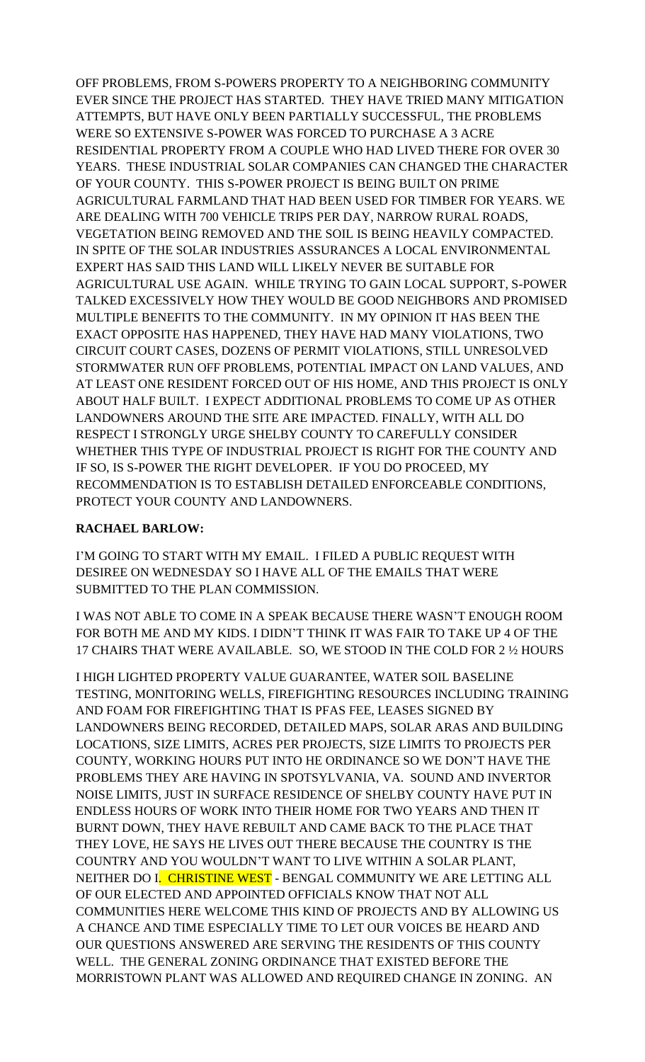OFF PROBLEMS, FROM S-POWERS PROPERTY TO A NEIGHBORING COMMUNITY EVER SINCE THE PROJECT HAS STARTED. THEY HAVE TRIED MANY MITIGATION ATTEMPTS, BUT HAVE ONLY BEEN PARTIALLY SUCCESSFUL, THE PROBLEMS WERE SO EXTENSIVE S-POWER WAS FORCED TO PURCHASE A 3 ACRE RESIDENTIAL PROPERTY FROM A COUPLE WHO HAD LIVED THERE FOR OVER 30 YEARS. THESE INDUSTRIAL SOLAR COMPANIES CAN CHANGED THE CHARACTER OF YOUR COUNTY. THIS S-POWER PROJECT IS BEING BUILT ON PRIME AGRICULTURAL FARMLAND THAT HAD BEEN USED FOR TIMBER FOR YEARS. WE ARE DEALING WITH 700 VEHICLE TRIPS PER DAY, NARROW RURAL ROADS, VEGETATION BEING REMOVED AND THE SOIL IS BEING HEAVILY COMPACTED. IN SPITE OF THE SOLAR INDUSTRIES ASSURANCES A LOCAL ENVIRONMENTAL EXPERT HAS SAID THIS LAND WILL LIKELY NEVER BE SUITABLE FOR AGRICULTURAL USE AGAIN. WHILE TRYING TO GAIN LOCAL SUPPORT, S-POWER TALKED EXCESSIVELY HOW THEY WOULD BE GOOD NEIGHBORS AND PROMISED MULTIPLE BENEFITS TO THE COMMUNITY. IN MY OPINION IT HAS BEEN THE EXACT OPPOSITE HAS HAPPENED, THEY HAVE HAD MANY VIOLATIONS, TWO CIRCUIT COURT CASES, DOZENS OF PERMIT VIOLATIONS, STILL UNRESOLVED STORMWATER RUN OFF PROBLEMS, POTENTIAL IMPACT ON LAND VALUES, AND AT LEAST ONE RESIDENT FORCED OUT OF HIS HOME, AND THIS PROJECT IS ONLY ABOUT HALF BUILT. I EXPECT ADDITIONAL PROBLEMS TO COME UP AS OTHER LANDOWNERS AROUND THE SITE ARE IMPACTED. FINALLY, WITH ALL DO RESPECT I STRONGLY URGE SHELBY COUNTY TO CAREFULLY CONSIDER WHETHER THIS TYPE OF INDUSTRIAL PROJECT IS RIGHT FOR THE COUNTY AND IF SO, IS S-POWER THE RIGHT DEVELOPER. IF YOU DO PROCEED, MY RECOMMENDATION IS TO ESTABLISH DETAILED ENFORCEABLE CONDITIONS, PROTECT YOUR COUNTY AND LANDOWNERS.

### **RACHAEL BARLOW:**

I'M GOING TO START WITH MY EMAIL. I FILED A PUBLIC REQUEST WITH DESIREE ON WEDNESDAY SO I HAVE ALL OF THE EMAILS THAT WERE SUBMITTED TO THE PLAN COMMISSION.

I WAS NOT ABLE TO COME IN A SPEAK BECAUSE THERE WASN'T ENOUGH ROOM FOR BOTH ME AND MY KIDS. I DIDN'T THINK IT WAS FAIR TO TAKE UP 4 OF THE 17 CHAIRS THAT WERE AVAILABLE. SO, WE STOOD IN THE COLD FOR 2 ½ HOURS

I HIGH LIGHTED PROPERTY VALUE GUARANTEE, WATER SOIL BASELINE TESTING, MONITORING WELLS, FIREFIGHTING RESOURCES INCLUDING TRAINING AND FOAM FOR FIREFIGHTING THAT IS PFAS FEE, LEASES SIGNED BY LANDOWNERS BEING RECORDED, DETAILED MAPS, SOLAR ARAS AND BUILDING LOCATIONS, SIZE LIMITS, ACRES PER PROJECTS, SIZE LIMITS TO PROJECTS PER COUNTY, WORKING HOURS PUT INTO HE ORDINANCE SO WE DON'T HAVE THE PROBLEMS THEY ARE HAVING IN SPOTSYLVANIA, VA. SOUND AND INVERTOR NOISE LIMITS, JUST IN SURFACE RESIDENCE OF SHELBY COUNTY HAVE PUT IN ENDLESS HOURS OF WORK INTO THEIR HOME FOR TWO YEARS AND THEN IT BURNT DOWN, THEY HAVE REBUILT AND CAME BACK TO THE PLACE THAT THEY LOVE, HE SAYS HE LIVES OUT THERE BECAUSE THE COUNTRY IS THE COUNTRY AND YOU WOULDN'T WANT TO LIVE WITHIN A SOLAR PLANT, NEITHER DO I. CHRISTINE WEST - BENGAL COMMUNITY WE ARE LETTING ALL OF OUR ELECTED AND APPOINTED OFFICIALS KNOW THAT NOT ALL COMMUNITIES HERE WELCOME THIS KIND OF PROJECTS AND BY ALLOWING US A CHANCE AND TIME ESPECIALLY TIME TO LET OUR VOICES BE HEARD AND OUR QUESTIONS ANSWERED ARE SERVING THE RESIDENTS OF THIS COUNTY WELL. THE GENERAL ZONING ORDINANCE THAT EXISTED BEFORE THE MORRISTOWN PLANT WAS ALLOWED AND REQUIRED CHANGE IN ZONING. AN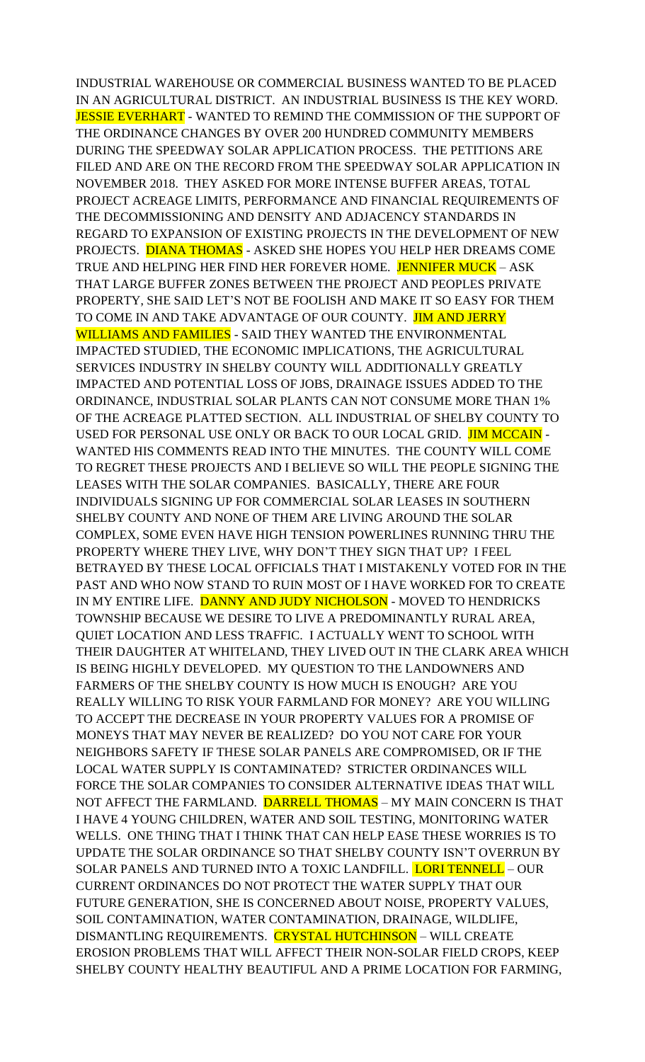INDUSTRIAL WAREHOUSE OR COMMERCIAL BUSINESS WANTED TO BE PLACED IN AN AGRICULTURAL DISTRICT. AN INDUSTRIAL BUSINESS IS THE KEY WORD. JESSIE EVERHART - WANTED TO REMIND THE COMMISSION OF THE SUPPORT OF THE ORDINANCE CHANGES BY OVER 200 HUNDRED COMMUNITY MEMBERS DURING THE SPEEDWAY SOLAR APPLICATION PROCESS. THE PETITIONS ARE FILED AND ARE ON THE RECORD FROM THE SPEEDWAY SOLAR APPLICATION IN NOVEMBER 2018. THEY ASKED FOR MORE INTENSE BUFFER AREAS, TOTAL PROJECT ACREAGE LIMITS, PERFORMANCE AND FINANCIAL REQUIREMENTS OF THE DECOMMISSIONING AND DENSITY AND ADJACENCY STANDARDS IN REGARD TO EXPANSION OF EXISTING PROJECTS IN THE DEVELOPMENT OF NEW PROJECTS. DIANA THOMAS - ASKED SHE HOPES YOU HELP HER DREAMS COME TRUE AND HELPING HER FIND HER FOREVER HOME. JENNIFER MUCK - ASK THAT LARGE BUFFER ZONES BETWEEN THE PROJECT AND PEOPLES PRIVATE PROPERTY, SHE SAID LET'S NOT BE FOOLISH AND MAKE IT SO EASY FOR THEM TO COME IN AND TAKE ADVANTAGE OF OUR COUNTY. JIM AND JERRY WILLIAMS AND FAMILIES - SAID THEY WANTED THE ENVIRONMENTAL IMPACTED STUDIED, THE ECONOMIC IMPLICATIONS, THE AGRICULTURAL SERVICES INDUSTRY IN SHELBY COUNTY WILL ADDITIONALLY GREATLY IMPACTED AND POTENTIAL LOSS OF JOBS, DRAINAGE ISSUES ADDED TO THE ORDINANCE, INDUSTRIAL SOLAR PLANTS CAN NOT CONSUME MORE THAN 1% OF THE ACREAGE PLATTED SECTION. ALL INDUSTRIAL OF SHELBY COUNTY TO USED FOR PERSONAL USE ONLY OR BACK TO OUR LOCAL GRID. JIM MCCAIN - WANTED HIS COMMENTS READ INTO THE MINUTES. THE COUNTY WILL COME TO REGRET THESE PROJECTS AND I BELIEVE SO WILL THE PEOPLE SIGNING THE LEASES WITH THE SOLAR COMPANIES. BASICALLY, THERE ARE FOUR INDIVIDUALS SIGNING UP FOR COMMERCIAL SOLAR LEASES IN SOUTHERN SHELBY COUNTY AND NONE OF THEM ARE LIVING AROUND THE SOLAR COMPLEX, SOME EVEN HAVE HIGH TENSION POWERLINES RUNNING THRU THE PROPERTY WHERE THEY LIVE, WHY DON'T THEY SIGN THAT UP? I FEEL BETRAYED BY THESE LOCAL OFFICIALS THAT I MISTAKENLY VOTED FOR IN THE PAST AND WHO NOW STAND TO RUIN MOST OF I HAVE WORKED FOR TO CREATE IN MY ENTIRE LIFE. DANNY AND JUDY NICHOLSON - MOVED TO HENDRICKS TOWNSHIP BECAUSE WE DESIRE TO LIVE A PREDOMINANTLY RURAL AREA, QUIET LOCATION AND LESS TRAFFIC. I ACTUALLY WENT TO SCHOOL WITH THEIR DAUGHTER AT WHITELAND, THEY LIVED OUT IN THE CLARK AREA WHICH IS BEING HIGHLY DEVELOPED. MY QUESTION TO THE LANDOWNERS AND FARMERS OF THE SHELBY COUNTY IS HOW MUCH IS ENOUGH? ARE YOU REALLY WILLING TO RISK YOUR FARMLAND FOR MONEY? ARE YOU WILLING TO ACCEPT THE DECREASE IN YOUR PROPERTY VALUES FOR A PROMISE OF MONEYS THAT MAY NEVER BE REALIZED? DO YOU NOT CARE FOR YOUR NEIGHBORS SAFETY IF THESE SOLAR PANELS ARE COMPROMISED, OR IF THE LOCAL WATER SUPPLY IS CONTAMINATED? STRICTER ORDINANCES WILL FORCE THE SOLAR COMPANIES TO CONSIDER ALTERNATIVE IDEAS THAT WILL NOT AFFECT THE FARMLAND. DARRELL THOMAS - MY MAIN CONCERN IS THAT I HAVE 4 YOUNG CHILDREN, WATER AND SOIL TESTING, MONITORING WATER WELLS. ONE THING THAT I THINK THAT CAN HELP EASE THESE WORRIES IS TO UPDATE THE SOLAR ORDINANCE SO THAT SHELBY COUNTY ISN'T OVERRUN BY SOLAR PANELS AND TURNED INTO A TOXIC LANDFILL. LORI TENNELL – OUR CURRENT ORDINANCES DO NOT PROTECT THE WATER SUPPLY THAT OUR FUTURE GENERATION, SHE IS CONCERNED ABOUT NOISE, PROPERTY VALUES, SOIL CONTAMINATION, WATER CONTAMINATION, DRAINAGE, WILDLIFE, DISMANTLING REQUIREMENTS. CRYSTAL HUTCHINSON - WILL CREATE EROSION PROBLEMS THAT WILL AFFECT THEIR NON-SOLAR FIELD CROPS, KEEP SHELBY COUNTY HEALTHY BEAUTIFUL AND A PRIME LOCATION FOR FARMING,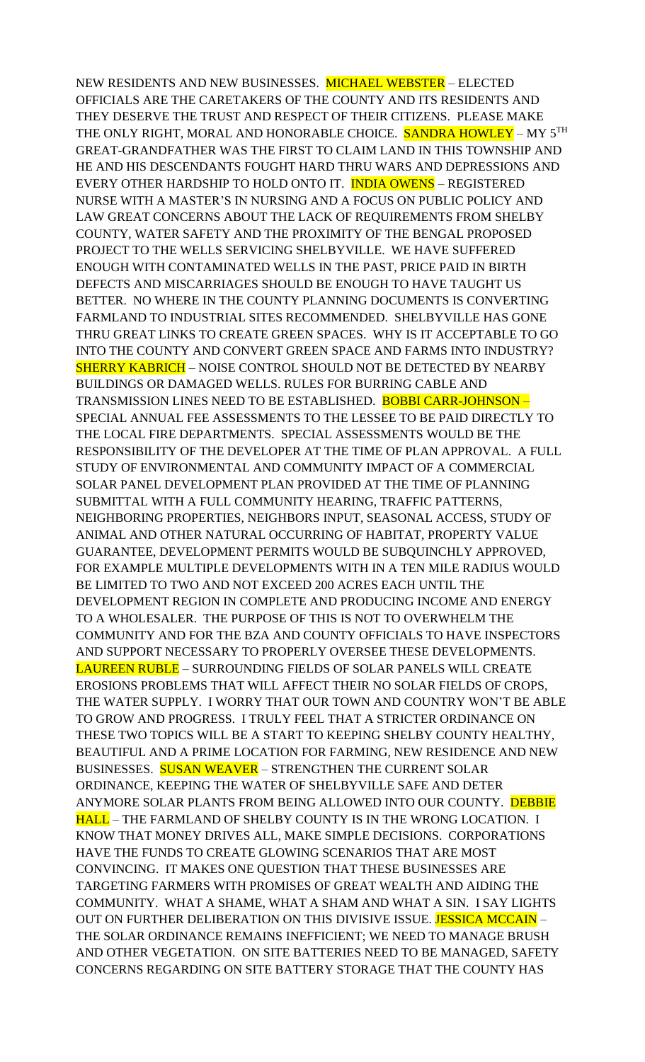NEW RESIDENTS AND NEW BUSINESSES. MICHAEL WEBSTER – ELECTED OFFICIALS ARE THE CARETAKERS OF THE COUNTY AND ITS RESIDENTS AND THEY DESERVE THE TRUST AND RESPECT OF THEIR CITIZENS. PLEASE MAKE THE ONLY RIGHT, MORAL AND HONORABLE CHOICE. <mark>SANDRA HOWLEY</mark> – MY 5<sup>th</sup> GREAT-GRANDFATHER WAS THE FIRST TO CLAIM LAND IN THIS TOWNSHIP AND HE AND HIS DESCENDANTS FOUGHT HARD THRU WARS AND DEPRESSIONS AND EVERY OTHER HARDSHIP TO HOLD ONTO IT. INDIA OWENS – REGISTERED NURSE WITH A MASTER'S IN NURSING AND A FOCUS ON PUBLIC POLICY AND LAW GREAT CONCERNS ABOUT THE LACK OF REQUIREMENTS FROM SHELBY COUNTY, WATER SAFETY AND THE PROXIMITY OF THE BENGAL PROPOSED PROJECT TO THE WELLS SERVICING SHELBYVILLE. WE HAVE SUFFERED ENOUGH WITH CONTAMINATED WELLS IN THE PAST, PRICE PAID IN BIRTH DEFECTS AND MISCARRIAGES SHOULD BE ENOUGH TO HAVE TAUGHT US BETTER. NO WHERE IN THE COUNTY PLANNING DOCUMENTS IS CONVERTING FARMLAND TO INDUSTRIAL SITES RECOMMENDED. SHELBYVILLE HAS GONE THRU GREAT LINKS TO CREATE GREEN SPACES. WHY IS IT ACCEPTABLE TO GO INTO THE COUNTY AND CONVERT GREEN SPACE AND FARMS INTO INDUSTRY? SHERRY KABRICH – NOISE CONTROL SHOULD NOT BE DETECTED BY NEARBY BUILDINGS OR DAMAGED WELLS. RULES FOR BURRING CABLE AND TRANSMISSION LINES NEED TO BE ESTABLISHED. BOBBI CARR-JOHNSON – SPECIAL ANNUAL FEE ASSESSMENTS TO THE LESSEE TO BE PAID DIRECTLY TO THE LOCAL FIRE DEPARTMENTS. SPECIAL ASSESSMENTS WOULD BE THE RESPONSIBILITY OF THE DEVELOPER AT THE TIME OF PLAN APPROVAL. A FULL STUDY OF ENVIRONMENTAL AND COMMUNITY IMPACT OF A COMMERCIAL SOLAR PANEL DEVELOPMENT PLAN PROVIDED AT THE TIME OF PLANNING SUBMITTAL WITH A FULL COMMUNITY HEARING, TRAFFIC PATTERNS, NEIGHBORING PROPERTIES, NEIGHBORS INPUT, SEASONAL ACCESS, STUDY OF ANIMAL AND OTHER NATURAL OCCURRING OF HABITAT, PROPERTY VALUE GUARANTEE, DEVELOPMENT PERMITS WOULD BE SUBQUINCHLY APPROVED, FOR EXAMPLE MULTIPLE DEVELOPMENTS WITH IN A TEN MILE RADIUS WOULD BE LIMITED TO TWO AND NOT EXCEED 200 ACRES EACH UNTIL THE DEVELOPMENT REGION IN COMPLETE AND PRODUCING INCOME AND ENERGY TO A WHOLESALER. THE PURPOSE OF THIS IS NOT TO OVERWHELM THE COMMUNITY AND FOR THE BZA AND COUNTY OFFICIALS TO HAVE INSPECTORS AND SUPPORT NECESSARY TO PROPERLY OVERSEE THESE DEVELOPMENTS. LAUREEN RUBLE – SURROUNDING FIELDS OF SOLAR PANELS WILL CREATE EROSIONS PROBLEMS THAT WILL AFFECT THEIR NO SOLAR FIELDS OF CROPS, THE WATER SUPPLY. I WORRY THAT OUR TOWN AND COUNTRY WON'T BE ABLE TO GROW AND PROGRESS. I TRULY FEEL THAT A STRICTER ORDINANCE ON THESE TWO TOPICS WILL BE A START TO KEEPING SHELBY COUNTY HEALTHY, BEAUTIFUL AND A PRIME LOCATION FOR FARMING, NEW RESIDENCE AND NEW BUSINESSES. SUSAN WEAVER - STRENGTHEN THE CURRENT SOLAR ORDINANCE, KEEPING THE WATER OF SHELBYVILLE SAFE AND DETER ANYMORE SOLAR PLANTS FROM BEING ALLOWED INTO OUR COUNTY. DEBBIE HALL – THE FARMLAND OF SHELBY COUNTY IS IN THE WRONG LOCATION. I KNOW THAT MONEY DRIVES ALL, MAKE SIMPLE DECISIONS. CORPORATIONS HAVE THE FUNDS TO CREATE GLOWING SCENARIOS THAT ARE MOST CONVINCING. IT MAKES ONE QUESTION THAT THESE BUSINESSES ARE TARGETING FARMERS WITH PROMISES OF GREAT WEALTH AND AIDING THE COMMUNITY. WHAT A SHAME, WHAT A SHAM AND WHAT A SIN. I SAY LIGHTS OUT ON FURTHER DELIBERATION ON THIS DIVISIVE ISSUE. JESSICA MCCAIN -THE SOLAR ORDINANCE REMAINS INEFFICIENT; WE NEED TO MANAGE BRUSH AND OTHER VEGETATION. ON SITE BATTERIES NEED TO BE MANAGED, SAFETY CONCERNS REGARDING ON SITE BATTERY STORAGE THAT THE COUNTY HAS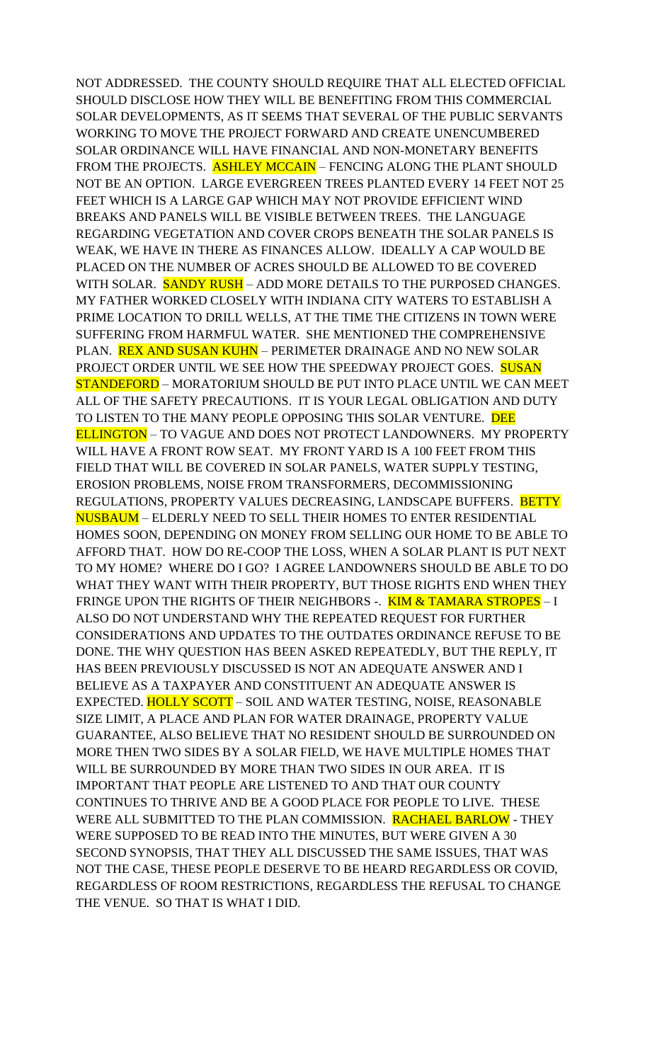NOT ADDRESSED. THE COUNTY SHOULD REQUIRE THAT ALL ELECTED OFFICIAL SHOULD DISCLOSE HOW THEY WILL BE BENEFITING FROM THIS COMMERCIAL SOLAR DEVELOPMENTS, AS IT SEEMS THAT SEVERAL OF THE PUBLIC SERVANTS WORKING TO MOVE THE PROJECT FORWARD AND CREATE UNENCUMBERED SOLAR ORDINANCE WILL HAVE FINANCIAL AND NON-MONETARY BENEFITS FROM THE PROJECTS. ASHLEY MCCAIN - FENCING ALONG THE PLANT SHOULD NOT BE AN OPTION. LARGE EVERGREEN TREES PLANTED EVERY 14 FEET NOT 25 FEET WHICH IS A LARGE GAP WHICH MAY NOT PROVIDE EFFICIENT WIND BREAKS AND PANELS WILL BE VISIBLE BETWEEN TREES. THE LANGUAGE REGARDING VEGETATION AND COVER CROPS BENEATH THE SOLAR PANELS IS WEAK, WE HAVE IN THERE AS FINANCES ALLOW. IDEALLY A CAP WOULD BE PLACED ON THE NUMBER OF ACRES SHOULD BE ALLOWED TO BE COVERED WITH SOLAR. SANDY RUSH – ADD MORE DETAILS TO THE PURPOSED CHANGES. MY FATHER WORKED CLOSELY WITH INDIANA CITY WATERS TO ESTABLISH A PRIME LOCATION TO DRILL WELLS, AT THE TIME THE CITIZENS IN TOWN WERE SUFFERING FROM HARMFUL WATER. SHE MENTIONED THE COMPREHENSIVE PLAN. REX AND SUSAN KUHN – PERIMETER DRAINAGE AND NO NEW SOLAR PROJECT ORDER UNTIL WE SEE HOW THE SPEEDWAY PROJECT GOES. SUSAN STANDEFORD – MORATORIUM SHOULD BE PUT INTO PLACE UNTIL WE CAN MEET ALL OF THE SAFETY PRECAUTIONS. IT IS YOUR LEGAL OBLIGATION AND DUTY TO LISTEN TO THE MANY PEOPLE OPPOSING THIS SOLAR VENTURE. DEE ELLINGTON – TO VAGUE AND DOES NOT PROTECT LANDOWNERS. MY PROPERTY WILL HAVE A FRONT ROW SEAT. MY FRONT YARD IS A 100 FEET FROM THIS FIELD THAT WILL BE COVERED IN SOLAR PANELS, WATER SUPPLY TESTING, EROSION PROBLEMS, NOISE FROM TRANSFORMERS, DECOMMISSIONING REGULATIONS, PROPERTY VALUES DECREASING, LANDSCAPE BUFFERS. BETTY NUSBAUM – ELDERLY NEED TO SELL THEIR HOMES TO ENTER RESIDENTIAL HOMES SOON, DEPENDING ON MONEY FROM SELLING OUR HOME TO BE ABLE TO AFFORD THAT. HOW DO RE-COOP THE LOSS, WHEN A SOLAR PLANT IS PUT NEXT TO MY HOME? WHERE DO I GO? I AGREE LANDOWNERS SHOULD BE ABLE TO DO WHAT THEY WANT WITH THEIR PROPERTY, BUT THOSE RIGHTS END WHEN THEY FRINGE UPON THE RIGHTS OF THEIR NEIGHBORS -. KIM & TAMARA STROPES - I ALSO DO NOT UNDERSTAND WHY THE REPEATED REQUEST FOR FURTHER CONSIDERATIONS AND UPDATES TO THE OUTDATES ORDINANCE REFUSE TO BE DONE. THE WHY QUESTION HAS BEEN ASKED REPEATEDLY, BUT THE REPLY, IT HAS BEEN PREVIOUSLY DISCUSSED IS NOT AN ADEQUATE ANSWER AND I BELIEVE AS A TAXPAYER AND CONSTITUENT AN ADEQUATE ANSWER IS EXPECTED. HOLLY SCOTT - SOIL AND WATER TESTING, NOISE, REASONABLE SIZE LIMIT, A PLACE AND PLAN FOR WATER DRAINAGE, PROPERTY VALUE GUARANTEE, ALSO BELIEVE THAT NO RESIDENT SHOULD BE SURROUNDED ON MORE THEN TWO SIDES BY A SOLAR FIELD, WE HAVE MULTIPLE HOMES THAT WILL BE SURROUNDED BY MORE THAN TWO SIDES IN OUR AREA. IT IS IMPORTANT THAT PEOPLE ARE LISTENED TO AND THAT OUR COUNTY CONTINUES TO THRIVE AND BE A GOOD PLACE FOR PEOPLE TO LIVE. THESE WERE ALL SUBMITTED TO THE PLAN COMMISSION. RACHAEL BARLOW - THEY WERE SUPPOSED TO BE READ INTO THE MINUTES, BUT WERE GIVEN A 30 SECOND SYNOPSIS, THAT THEY ALL DISCUSSED THE SAME ISSUES, THAT WAS NOT THE CASE, THESE PEOPLE DESERVE TO BE HEARD REGARDLESS OR COVID, REGARDLESS OF ROOM RESTRICTIONS, REGARDLESS THE REFUSAL TO CHANGE THE VENUE. SO THAT IS WHAT I DID.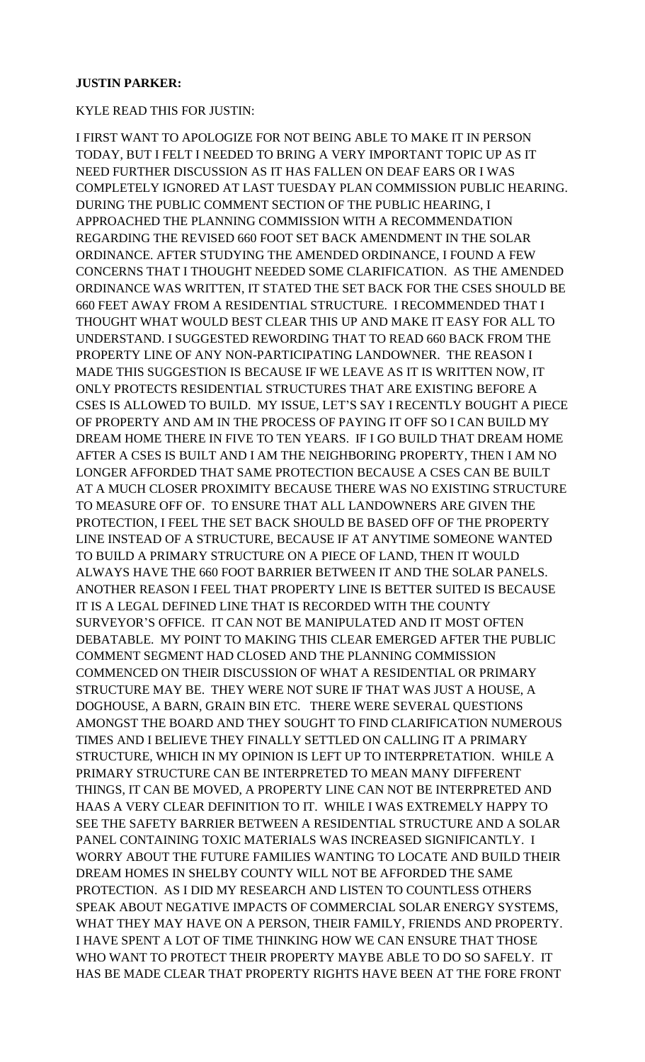#### **JUSTIN PARKER:**

#### KYLE READ THIS FOR JUSTIN:

I FIRST WANT TO APOLOGIZE FOR NOT BEING ABLE TO MAKE IT IN PERSON TODAY, BUT I FELT I NEEDED TO BRING A VERY IMPORTANT TOPIC UP AS IT NEED FURTHER DISCUSSION AS IT HAS FALLEN ON DEAF EARS OR I WAS COMPLETELY IGNORED AT LAST TUESDAY PLAN COMMISSION PUBLIC HEARING. DURING THE PUBLIC COMMENT SECTION OF THE PUBLIC HEARING, I APPROACHED THE PLANNING COMMISSION WITH A RECOMMENDATION REGARDING THE REVISED 660 FOOT SET BACK AMENDMENT IN THE SOLAR ORDINANCE. AFTER STUDYING THE AMENDED ORDINANCE, I FOUND A FEW CONCERNS THAT I THOUGHT NEEDED SOME CLARIFICATION. AS THE AMENDED ORDINANCE WAS WRITTEN, IT STATED THE SET BACK FOR THE CSES SHOULD BE 660 FEET AWAY FROM A RESIDENTIAL STRUCTURE. I RECOMMENDED THAT I THOUGHT WHAT WOULD BEST CLEAR THIS UP AND MAKE IT EASY FOR ALL TO UNDERSTAND. I SUGGESTED REWORDING THAT TO READ 660 BACK FROM THE PROPERTY LINE OF ANY NON-PARTICIPATING LANDOWNER. THE REASON I MADE THIS SUGGESTION IS BECAUSE IF WE LEAVE AS IT IS WRITTEN NOW, IT ONLY PROTECTS RESIDENTIAL STRUCTURES THAT ARE EXISTING BEFORE A CSES IS ALLOWED TO BUILD. MY ISSUE, LET'S SAY I RECENTLY BOUGHT A PIECE OF PROPERTY AND AM IN THE PROCESS OF PAYING IT OFF SO I CAN BUILD MY DREAM HOME THERE IN FIVE TO TEN YEARS. IF I GO BUILD THAT DREAM HOME AFTER A CSES IS BUILT AND I AM THE NEIGHBORING PROPERTY, THEN I AM NO LONGER AFFORDED THAT SAME PROTECTION BECAUSE A CSES CAN BE BUILT AT A MUCH CLOSER PROXIMITY BECAUSE THERE WAS NO EXISTING STRUCTURE TO MEASURE OFF OF. TO ENSURE THAT ALL LANDOWNERS ARE GIVEN THE PROTECTION, I FEEL THE SET BACK SHOULD BE BASED OFF OF THE PROPERTY LINE INSTEAD OF A STRUCTURE, BECAUSE IF AT ANYTIME SOMEONE WANTED TO BUILD A PRIMARY STRUCTURE ON A PIECE OF LAND, THEN IT WOULD ALWAYS HAVE THE 660 FOOT BARRIER BETWEEN IT AND THE SOLAR PANELS. ANOTHER REASON I FEEL THAT PROPERTY LINE IS BETTER SUITED IS BECAUSE IT IS A LEGAL DEFINED LINE THAT IS RECORDED WITH THE COUNTY SURVEYOR'S OFFICE. IT CAN NOT BE MANIPULATED AND IT MOST OFTEN DEBATABLE. MY POINT TO MAKING THIS CLEAR EMERGED AFTER THE PUBLIC COMMENT SEGMENT HAD CLOSED AND THE PLANNING COMMISSION COMMENCED ON THEIR DISCUSSION OF WHAT A RESIDENTIAL OR PRIMARY STRUCTURE MAY BE. THEY WERE NOT SURE IF THAT WAS JUST A HOUSE, A DOGHOUSE, A BARN, GRAIN BIN ETC. THERE WERE SEVERAL QUESTIONS AMONGST THE BOARD AND THEY SOUGHT TO FIND CLARIFICATION NUMEROUS TIMES AND I BELIEVE THEY FINALLY SETTLED ON CALLING IT A PRIMARY STRUCTURE, WHICH IN MY OPINION IS LEFT UP TO INTERPRETATION. WHILE A PRIMARY STRUCTURE CAN BE INTERPRETED TO MEAN MANY DIFFERENT THINGS, IT CAN BE MOVED, A PROPERTY LINE CAN NOT BE INTERPRETED AND HAAS A VERY CLEAR DEFINITION TO IT. WHILE I WAS EXTREMELY HAPPY TO SEE THE SAFETY BARRIER BETWEEN A RESIDENTIAL STRUCTURE AND A SOLAR PANEL CONTAINING TOXIC MATERIALS WAS INCREASED SIGNIFICANTLY. I WORRY ABOUT THE FUTURE FAMILIES WANTING TO LOCATE AND BUILD THEIR DREAM HOMES IN SHELBY COUNTY WILL NOT BE AFFORDED THE SAME PROTECTION. AS I DID MY RESEARCH AND LISTEN TO COUNTLESS OTHERS SPEAK ABOUT NEGATIVE IMPACTS OF COMMERCIAL SOLAR ENERGY SYSTEMS, WHAT THEY MAY HAVE ON A PERSON, THEIR FAMILY, FRIENDS AND PROPERTY. I HAVE SPENT A LOT OF TIME THINKING HOW WE CAN ENSURE THAT THOSE WHO WANT TO PROTECT THEIR PROPERTY MAYBE ABLE TO DO SO SAFELY. IT HAS BE MADE CLEAR THAT PROPERTY RIGHTS HAVE BEEN AT THE FORE FRONT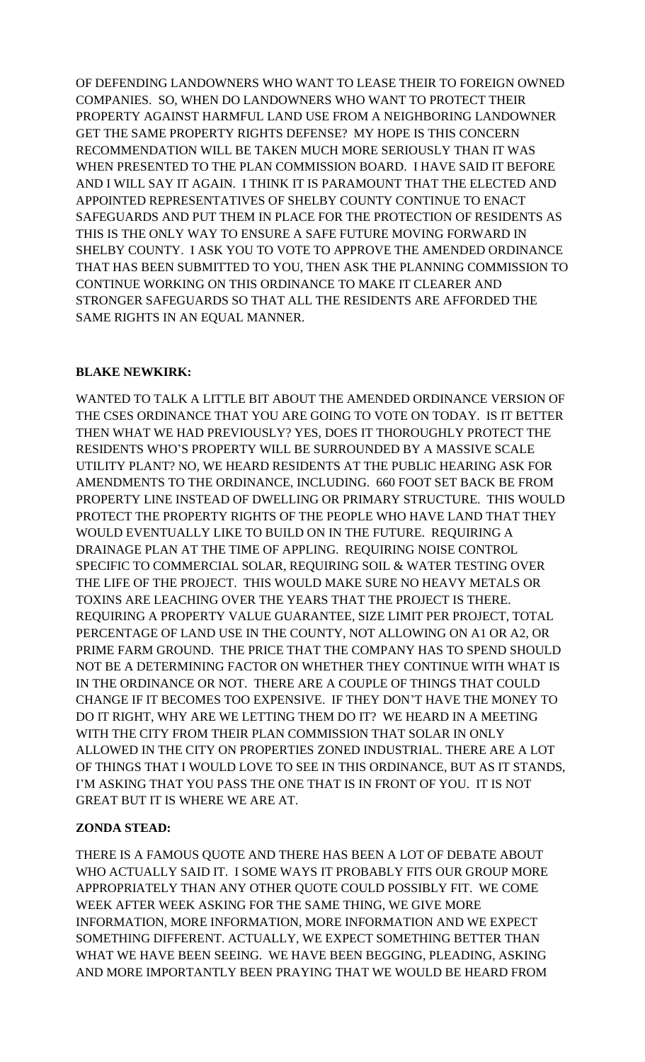OF DEFENDING LANDOWNERS WHO WANT TO LEASE THEIR TO FOREIGN OWNED COMPANIES. SO, WHEN DO LANDOWNERS WHO WANT TO PROTECT THEIR PROPERTY AGAINST HARMFUL LAND USE FROM A NEIGHBORING LANDOWNER GET THE SAME PROPERTY RIGHTS DEFENSE? MY HOPE IS THIS CONCERN RECOMMENDATION WILL BE TAKEN MUCH MORE SERIOUSLY THAN IT WAS WHEN PRESENTED TO THE PLAN COMMISSION BOARD. I HAVE SAID IT BEFORE AND I WILL SAY IT AGAIN. I THINK IT IS PARAMOUNT THAT THE ELECTED AND APPOINTED REPRESENTATIVES OF SHELBY COUNTY CONTINUE TO ENACT SAFEGUARDS AND PUT THEM IN PLACE FOR THE PROTECTION OF RESIDENTS AS THIS IS THE ONLY WAY TO ENSURE A SAFE FUTURE MOVING FORWARD IN SHELBY COUNTY. I ASK YOU TO VOTE TO APPROVE THE AMENDED ORDINANCE THAT HAS BEEN SUBMITTED TO YOU, THEN ASK THE PLANNING COMMISSION TO CONTINUE WORKING ON THIS ORDINANCE TO MAKE IT CLEARER AND STRONGER SAFEGUARDS SO THAT ALL THE RESIDENTS ARE AFFORDED THE SAME RIGHTS IN AN EQUAL MANNER.

## **BLAKE NEWKIRK:**

WANTED TO TALK A LITTLE BIT ABOUT THE AMENDED ORDINANCE VERSION OF THE CSES ORDINANCE THAT YOU ARE GOING TO VOTE ON TODAY. IS IT BETTER THEN WHAT WE HAD PREVIOUSLY? YES, DOES IT THOROUGHLY PROTECT THE RESIDENTS WHO'S PROPERTY WILL BE SURROUNDED BY A MASSIVE SCALE UTILITY PLANT? NO, WE HEARD RESIDENTS AT THE PUBLIC HEARING ASK FOR AMENDMENTS TO THE ORDINANCE, INCLUDING. 660 FOOT SET BACK BE FROM PROPERTY LINE INSTEAD OF DWELLING OR PRIMARY STRUCTURE. THIS WOULD PROTECT THE PROPERTY RIGHTS OF THE PEOPLE WHO HAVE LAND THAT THEY WOULD EVENTUALLY LIKE TO BUILD ON IN THE FUTURE. REQUIRING A DRAINAGE PLAN AT THE TIME OF APPLING. REQUIRING NOISE CONTROL SPECIFIC TO COMMERCIAL SOLAR, REQUIRING SOIL & WATER TESTING OVER THE LIFE OF THE PROJECT. THIS WOULD MAKE SURE NO HEAVY METALS OR TOXINS ARE LEACHING OVER THE YEARS THAT THE PROJECT IS THERE. REQUIRING A PROPERTY VALUE GUARANTEE, SIZE LIMIT PER PROJECT, TOTAL PERCENTAGE OF LAND USE IN THE COUNTY, NOT ALLOWING ON A1 OR A2, OR PRIME FARM GROUND. THE PRICE THAT THE COMPANY HAS TO SPEND SHOULD NOT BE A DETERMINING FACTOR ON WHETHER THEY CONTINUE WITH WHAT IS IN THE ORDINANCE OR NOT. THERE ARE A COUPLE OF THINGS THAT COULD CHANGE IF IT BECOMES TOO EXPENSIVE. IF THEY DON'T HAVE THE MONEY TO DO IT RIGHT, WHY ARE WE LETTING THEM DO IT? WE HEARD IN A MEETING WITH THE CITY FROM THEIR PLAN COMMISSION THAT SOLAR IN ONLY ALLOWED IN THE CITY ON PROPERTIES ZONED INDUSTRIAL. THERE ARE A LOT OF THINGS THAT I WOULD LOVE TO SEE IN THIS ORDINANCE, BUT AS IT STANDS, I'M ASKING THAT YOU PASS THE ONE THAT IS IN FRONT OF YOU. IT IS NOT GREAT BUT IT IS WHERE WE ARE AT.

# **ZONDA STEAD:**

THERE IS A FAMOUS QUOTE AND THERE HAS BEEN A LOT OF DEBATE ABOUT WHO ACTUALLY SAID IT. I SOME WAYS IT PROBABLY FITS OUR GROUP MORE APPROPRIATELY THAN ANY OTHER QUOTE COULD POSSIBLY FIT. WE COME WEEK AFTER WEEK ASKING FOR THE SAME THING, WE GIVE MORE INFORMATION, MORE INFORMATION, MORE INFORMATION AND WE EXPECT SOMETHING DIFFERENT. ACTUALLY, WE EXPECT SOMETHING BETTER THAN WHAT WE HAVE BEEN SEEING. WE HAVE BEEN BEGGING, PLEADING, ASKING AND MORE IMPORTANTLY BEEN PRAYING THAT WE WOULD BE HEARD FROM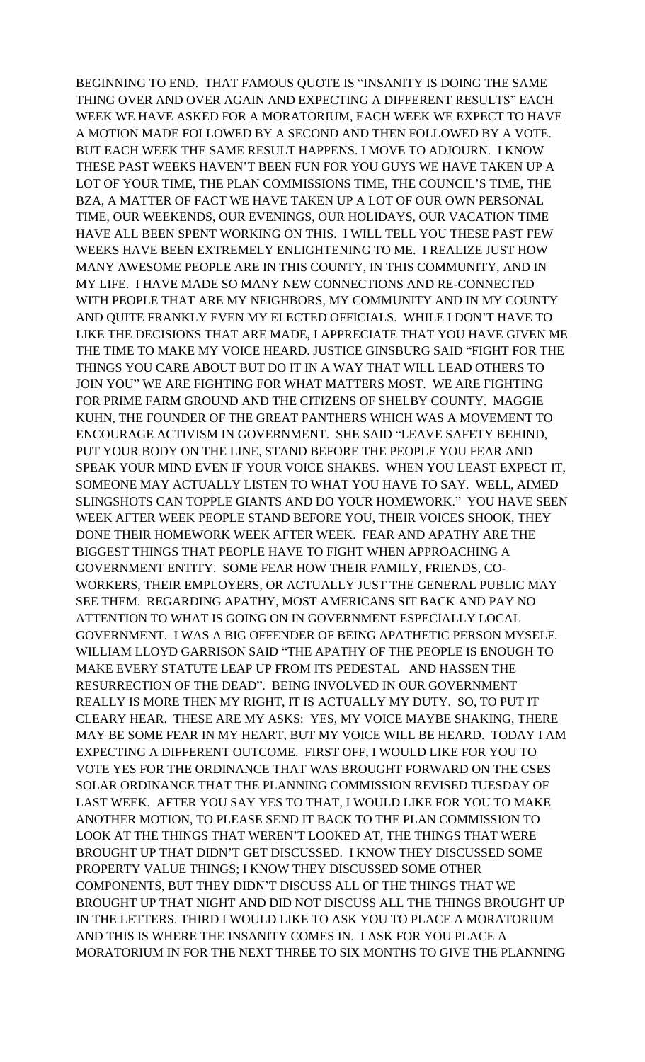BEGINNING TO END. THAT FAMOUS QUOTE IS "INSANITY IS DOING THE SAME THING OVER AND OVER AGAIN AND EXPECTING A DIFFERENT RESULTS" EACH WEEK WE HAVE ASKED FOR A MORATORIUM, EACH WEEK WE EXPECT TO HAVE A MOTION MADE FOLLOWED BY A SECOND AND THEN FOLLOWED BY A VOTE. BUT EACH WEEK THE SAME RESULT HAPPENS. I MOVE TO ADJOURN. I KNOW THESE PAST WEEKS HAVEN'T BEEN FUN FOR YOU GUYS WE HAVE TAKEN UP A LOT OF YOUR TIME, THE PLAN COMMISSIONS TIME, THE COUNCIL'S TIME, THE BZA, A MATTER OF FACT WE HAVE TAKEN UP A LOT OF OUR OWN PERSONAL TIME, OUR WEEKENDS, OUR EVENINGS, OUR HOLIDAYS, OUR VACATION TIME HAVE ALL BEEN SPENT WORKING ON THIS. I WILL TELL YOU THESE PAST FEW WEEKS HAVE BEEN EXTREMELY ENLIGHTENING TO ME. I REALIZE JUST HOW MANY AWESOME PEOPLE ARE IN THIS COUNTY, IN THIS COMMUNITY, AND IN MY LIFE. I HAVE MADE SO MANY NEW CONNECTIONS AND RE-CONNECTED WITH PEOPLE THAT ARE MY NEIGHBORS, MY COMMUNITY AND IN MY COUNTY AND QUITE FRANKLY EVEN MY ELECTED OFFICIALS. WHILE I DON'T HAVE TO LIKE THE DECISIONS THAT ARE MADE, I APPRECIATE THAT YOU HAVE GIVEN ME THE TIME TO MAKE MY VOICE HEARD. JUSTICE GINSBURG SAID "FIGHT FOR THE THINGS YOU CARE ABOUT BUT DO IT IN A WAY THAT WILL LEAD OTHERS TO JOIN YOU" WE ARE FIGHTING FOR WHAT MATTERS MOST. WE ARE FIGHTING FOR PRIME FARM GROUND AND THE CITIZENS OF SHELBY COUNTY. MAGGIE KUHN, THE FOUNDER OF THE GREAT PANTHERS WHICH WAS A MOVEMENT TO ENCOURAGE ACTIVISM IN GOVERNMENT. SHE SAID "LEAVE SAFETY BEHIND, PUT YOUR BODY ON THE LINE, STAND BEFORE THE PEOPLE YOU FEAR AND SPEAK YOUR MIND EVEN IF YOUR VOICE SHAKES. WHEN YOU LEAST EXPECT IT, SOMEONE MAY ACTUALLY LISTEN TO WHAT YOU HAVE TO SAY. WELL, AIMED SLINGSHOTS CAN TOPPLE GIANTS AND DO YOUR HOMEWORK." YOU HAVE SEEN WEEK AFTER WEEK PEOPLE STAND BEFORE YOU, THEIR VOICES SHOOK, THEY DONE THEIR HOMEWORK WEEK AFTER WEEK. FEAR AND APATHY ARE THE BIGGEST THINGS THAT PEOPLE HAVE TO FIGHT WHEN APPROACHING A GOVERNMENT ENTITY. SOME FEAR HOW THEIR FAMILY, FRIENDS, CO-WORKERS, THEIR EMPLOYERS, OR ACTUALLY JUST THE GENERAL PUBLIC MAY SEE THEM. REGARDING APATHY, MOST AMERICANS SIT BACK AND PAY NO ATTENTION TO WHAT IS GOING ON IN GOVERNMENT ESPECIALLY LOCAL GOVERNMENT. I WAS A BIG OFFENDER OF BEING APATHETIC PERSON MYSELF. WILLIAM LLOYD GARRISON SAID "THE APATHY OF THE PEOPLE IS ENOUGH TO MAKE EVERY STATUTE LEAP UP FROM ITS PEDESTAL AND HASSEN THE RESURRECTION OF THE DEAD". BEING INVOLVED IN OUR GOVERNMENT REALLY IS MORE THEN MY RIGHT, IT IS ACTUALLY MY DUTY. SO, TO PUT IT CLEARY HEAR. THESE ARE MY ASKS: YES, MY VOICE MAYBE SHAKING, THERE MAY BE SOME FEAR IN MY HEART, BUT MY VOICE WILL BE HEARD. TODAY I AM EXPECTING A DIFFERENT OUTCOME. FIRST OFF, I WOULD LIKE FOR YOU TO VOTE YES FOR THE ORDINANCE THAT WAS BROUGHT FORWARD ON THE CSES SOLAR ORDINANCE THAT THE PLANNING COMMISSION REVISED TUESDAY OF LAST WEEK. AFTER YOU SAY YES TO THAT, I WOULD LIKE FOR YOU TO MAKE ANOTHER MOTION, TO PLEASE SEND IT BACK TO THE PLAN COMMISSION TO LOOK AT THE THINGS THAT WEREN'T LOOKED AT, THE THINGS THAT WERE BROUGHT UP THAT DIDN'T GET DISCUSSED. I KNOW THEY DISCUSSED SOME PROPERTY VALUE THINGS; I KNOW THEY DISCUSSED SOME OTHER COMPONENTS, BUT THEY DIDN'T DISCUSS ALL OF THE THINGS THAT WE BROUGHT UP THAT NIGHT AND DID NOT DISCUSS ALL THE THINGS BROUGHT UP IN THE LETTERS. THIRD I WOULD LIKE TO ASK YOU TO PLACE A MORATORIUM AND THIS IS WHERE THE INSANITY COMES IN. I ASK FOR YOU PLACE A MORATORIUM IN FOR THE NEXT THREE TO SIX MONTHS TO GIVE THE PLANNING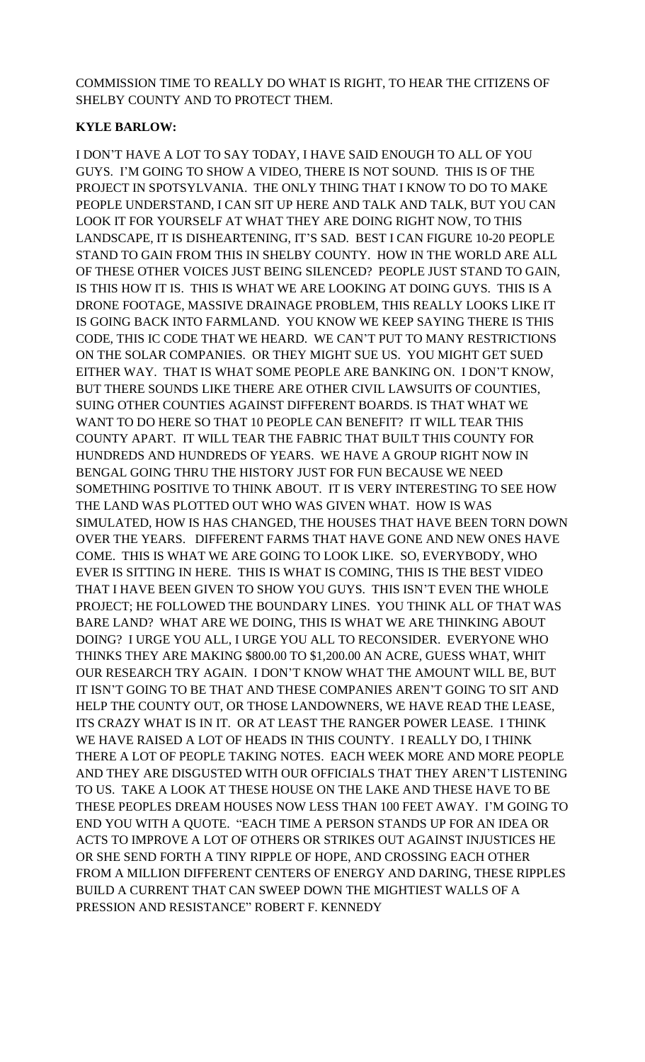COMMISSION TIME TO REALLY DO WHAT IS RIGHT, TO HEAR THE CITIZENS OF SHELBY COUNTY AND TO PROTECT THEM.

### **KYLE BARLOW:**

I DON'T HAVE A LOT TO SAY TODAY, I HAVE SAID ENOUGH TO ALL OF YOU GUYS. I'M GOING TO SHOW A VIDEO, THERE IS NOT SOUND. THIS IS OF THE PROJECT IN SPOTSYLVANIA. THE ONLY THING THAT I KNOW TO DO TO MAKE PEOPLE UNDERSTAND, I CAN SIT UP HERE AND TALK AND TALK, BUT YOU CAN LOOK IT FOR YOURSELF AT WHAT THEY ARE DOING RIGHT NOW, TO THIS LANDSCAPE, IT IS DISHEARTENING, IT'S SAD. BEST I CAN FIGURE 10-20 PEOPLE STAND TO GAIN FROM THIS IN SHELBY COUNTY. HOW IN THE WORLD ARE ALL OF THESE OTHER VOICES JUST BEING SILENCED? PEOPLE JUST STAND TO GAIN, IS THIS HOW IT IS. THIS IS WHAT WE ARE LOOKING AT DOING GUYS. THIS IS A DRONE FOOTAGE, MASSIVE DRAINAGE PROBLEM, THIS REALLY LOOKS LIKE IT IS GOING BACK INTO FARMLAND. YOU KNOW WE KEEP SAYING THERE IS THIS CODE, THIS IC CODE THAT WE HEARD. WE CAN'T PUT TO MANY RESTRICTIONS ON THE SOLAR COMPANIES. OR THEY MIGHT SUE US. YOU MIGHT GET SUED EITHER WAY. THAT IS WHAT SOME PEOPLE ARE BANKING ON. I DON'T KNOW, BUT THERE SOUNDS LIKE THERE ARE OTHER CIVIL LAWSUITS OF COUNTIES, SUING OTHER COUNTIES AGAINST DIFFERENT BOARDS. IS THAT WHAT WE WANT TO DO HERE SO THAT 10 PEOPLE CAN BENEFIT? IT WILL TEAR THIS COUNTY APART. IT WILL TEAR THE FABRIC THAT BUILT THIS COUNTY FOR HUNDREDS AND HUNDREDS OF YEARS. WE HAVE A GROUP RIGHT NOW IN BENGAL GOING THRU THE HISTORY JUST FOR FUN BECAUSE WE NEED SOMETHING POSITIVE TO THINK ABOUT. IT IS VERY INTERESTING TO SEE HOW THE LAND WAS PLOTTED OUT WHO WAS GIVEN WHAT. HOW IS WAS SIMULATED, HOW IS HAS CHANGED, THE HOUSES THAT HAVE BEEN TORN DOWN OVER THE YEARS. DIFFERENT FARMS THAT HAVE GONE AND NEW ONES HAVE COME. THIS IS WHAT WE ARE GOING TO LOOK LIKE. SO, EVERYBODY, WHO EVER IS SITTING IN HERE. THIS IS WHAT IS COMING, THIS IS THE BEST VIDEO THAT I HAVE BEEN GIVEN TO SHOW YOU GUYS. THIS ISN'T EVEN THE WHOLE PROJECT; HE FOLLOWED THE BOUNDARY LINES. YOU THINK ALL OF THAT WAS BARE LAND? WHAT ARE WE DOING, THIS IS WHAT WE ARE THINKING ABOUT DOING? I URGE YOU ALL, I URGE YOU ALL TO RECONSIDER. EVERYONE WHO THINKS THEY ARE MAKING \$800.00 TO \$1,200.00 AN ACRE, GUESS WHAT, WHIT OUR RESEARCH TRY AGAIN. I DON'T KNOW WHAT THE AMOUNT WILL BE, BUT IT ISN'T GOING TO BE THAT AND THESE COMPANIES AREN'T GOING TO SIT AND HELP THE COUNTY OUT, OR THOSE LANDOWNERS, WE HAVE READ THE LEASE, ITS CRAZY WHAT IS IN IT. OR AT LEAST THE RANGER POWER LEASE. I THINK WE HAVE RAISED A LOT OF HEADS IN THIS COUNTY. I REALLY DO, I THINK THERE A LOT OF PEOPLE TAKING NOTES. EACH WEEK MORE AND MORE PEOPLE AND THEY ARE DISGUSTED WITH OUR OFFICIALS THAT THEY AREN'T LISTENING TO US. TAKE A LOOK AT THESE HOUSE ON THE LAKE AND THESE HAVE TO BE THESE PEOPLES DREAM HOUSES NOW LESS THAN 100 FEET AWAY. I'M GOING TO END YOU WITH A QUOTE. "EACH TIME A PERSON STANDS UP FOR AN IDEA OR ACTS TO IMPROVE A LOT OF OTHERS OR STRIKES OUT AGAINST INJUSTICES HE OR SHE SEND FORTH A TINY RIPPLE OF HOPE, AND CROSSING EACH OTHER FROM A MILLION DIFFERENT CENTERS OF ENERGY AND DARING, THESE RIPPLES BUILD A CURRENT THAT CAN SWEEP DOWN THE MIGHTIEST WALLS OF A PRESSION AND RESISTANCE" ROBERT F. KENNEDY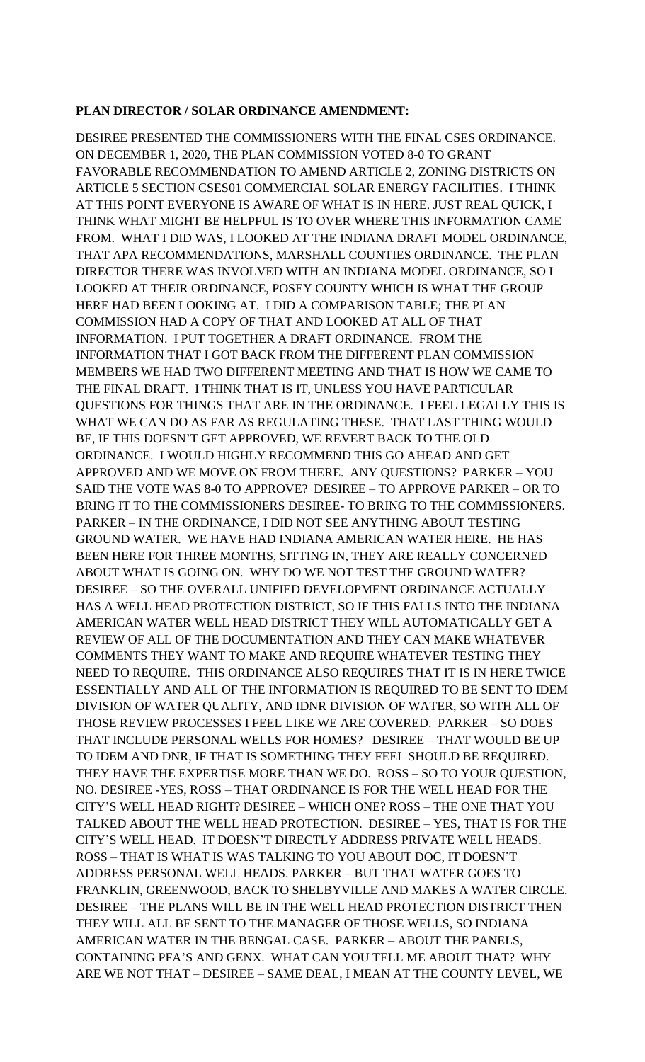#### **PLAN DIRECTOR / SOLAR ORDINANCE AMENDMENT:**

DESIREE PRESENTED THE COMMISSIONERS WITH THE FINAL CSES ORDINANCE. ON DECEMBER 1, 2020, THE PLAN COMMISSION VOTED 8-0 TO GRANT FAVORABLE RECOMMENDATION TO AMEND ARTICLE 2, ZONING DISTRICTS ON ARTICLE 5 SECTION CSES01 COMMERCIAL SOLAR ENERGY FACILITIES. I THINK AT THIS POINT EVERYONE IS AWARE OF WHAT IS IN HERE. JUST REAL QUICK, I THINK WHAT MIGHT BE HELPFUL IS TO OVER WHERE THIS INFORMATION CAME FROM. WHAT I DID WAS, I LOOKED AT THE INDIANA DRAFT MODEL ORDINANCE, THAT APA RECOMMENDATIONS, MARSHALL COUNTIES ORDINANCE. THE PLAN DIRECTOR THERE WAS INVOLVED WITH AN INDIANA MODEL ORDINANCE, SO I LOOKED AT THEIR ORDINANCE, POSEY COUNTY WHICH IS WHAT THE GROUP HERE HAD BEEN LOOKING AT. I DID A COMPARISON TABLE; THE PLAN COMMISSION HAD A COPY OF THAT AND LOOKED AT ALL OF THAT INFORMATION. I PUT TOGETHER A DRAFT ORDINANCE. FROM THE INFORMATION THAT I GOT BACK FROM THE DIFFERENT PLAN COMMISSION MEMBERS WE HAD TWO DIFFERENT MEETING AND THAT IS HOW WE CAME TO THE FINAL DRAFT. I THINK THAT IS IT, UNLESS YOU HAVE PARTICULAR QUESTIONS FOR THINGS THAT ARE IN THE ORDINANCE. I FEEL LEGALLY THIS IS WHAT WE CAN DO AS FAR AS REGULATING THESE. THAT LAST THING WOULD BE, IF THIS DOESN'T GET APPROVED, WE REVERT BACK TO THE OLD ORDINANCE. I WOULD HIGHLY RECOMMEND THIS GO AHEAD AND GET APPROVED AND WE MOVE ON FROM THERE. ANY QUESTIONS? PARKER – YOU SAID THE VOTE WAS 8-0 TO APPROVE? DESIREE – TO APPROVE PARKER – OR TO BRING IT TO THE COMMISSIONERS DESIREE- TO BRING TO THE COMMISSIONERS. PARKER – IN THE ORDINANCE, I DID NOT SEE ANYTHING ABOUT TESTING GROUND WATER. WE HAVE HAD INDIANA AMERICAN WATER HERE. HE HAS BEEN HERE FOR THREE MONTHS, SITTING IN, THEY ARE REALLY CONCERNED ABOUT WHAT IS GOING ON. WHY DO WE NOT TEST THE GROUND WATER? DESIREE – SO THE OVERALL UNIFIED DEVELOPMENT ORDINANCE ACTUALLY HAS A WELL HEAD PROTECTION DISTRICT, SO IF THIS FALLS INTO THE INDIANA AMERICAN WATER WELL HEAD DISTRICT THEY WILL AUTOMATICALLY GET A REVIEW OF ALL OF THE DOCUMENTATION AND THEY CAN MAKE WHATEVER COMMENTS THEY WANT TO MAKE AND REQUIRE WHATEVER TESTING THEY NEED TO REQUIRE. THIS ORDINANCE ALSO REQUIRES THAT IT IS IN HERE TWICE ESSENTIALLY AND ALL OF THE INFORMATION IS REQUIRED TO BE SENT TO IDEM DIVISION OF WATER QUALITY, AND IDNR DIVISION OF WATER, SO WITH ALL OF THOSE REVIEW PROCESSES I FEEL LIKE WE ARE COVERED. PARKER – SO DOES THAT INCLUDE PERSONAL WELLS FOR HOMES? DESIREE – THAT WOULD BE UP TO IDEM AND DNR, IF THAT IS SOMETHING THEY FEEL SHOULD BE REQUIRED. THEY HAVE THE EXPERTISE MORE THAN WE DO. ROSS – SO TO YOUR QUESTION, NO. DESIREE -YES, ROSS – THAT ORDINANCE IS FOR THE WELL HEAD FOR THE CITY'S WELL HEAD RIGHT? DESIREE – WHICH ONE? ROSS – THE ONE THAT YOU TALKED ABOUT THE WELL HEAD PROTECTION. DESIREE – YES, THAT IS FOR THE CITY'S WELL HEAD. IT DOESN'T DIRECTLY ADDRESS PRIVATE WELL HEADS. ROSS – THAT IS WHAT IS WAS TALKING TO YOU ABOUT DOC, IT DOESN'T ADDRESS PERSONAL WELL HEADS. PARKER – BUT THAT WATER GOES TO FRANKLIN, GREENWOOD, BACK TO SHELBYVILLE AND MAKES A WATER CIRCLE. DESIREE – THE PLANS WILL BE IN THE WELL HEAD PROTECTION DISTRICT THEN THEY WILL ALL BE SENT TO THE MANAGER OF THOSE WELLS, SO INDIANA AMERICAN WATER IN THE BENGAL CASE. PARKER – ABOUT THE PANELS, CONTAINING PFA'S AND GENX. WHAT CAN YOU TELL ME ABOUT THAT? WHY ARE WE NOT THAT – DESIREE – SAME DEAL, I MEAN AT THE COUNTY LEVEL, WE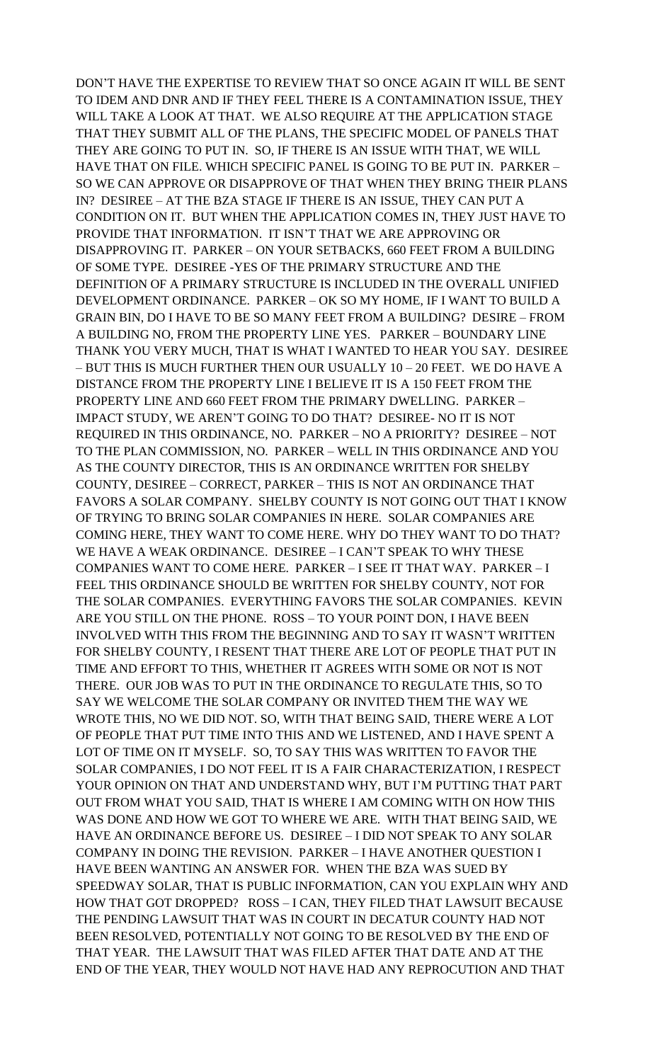DON'T HAVE THE EXPERTISE TO REVIEW THAT SO ONCE AGAIN IT WILL BE SENT TO IDEM AND DNR AND IF THEY FEEL THERE IS A CONTAMINATION ISSUE, THEY WILL TAKE A LOOK AT THAT. WE ALSO REQUIRE AT THE APPLICATION STAGE THAT THEY SUBMIT ALL OF THE PLANS, THE SPECIFIC MODEL OF PANELS THAT THEY ARE GOING TO PUT IN. SO, IF THERE IS AN ISSUE WITH THAT, WE WILL HAVE THAT ON FILE. WHICH SPECIFIC PANEL IS GOING TO BE PUT IN. PARKER – SO WE CAN APPROVE OR DISAPPROVE OF THAT WHEN THEY BRING THEIR PLANS IN? DESIREE – AT THE BZA STAGE IF THERE IS AN ISSUE, THEY CAN PUT A CONDITION ON IT. BUT WHEN THE APPLICATION COMES IN, THEY JUST HAVE TO PROVIDE THAT INFORMATION. IT ISN'T THAT WE ARE APPROVING OR DISAPPROVING IT. PARKER – ON YOUR SETBACKS, 660 FEET FROM A BUILDING OF SOME TYPE. DESIREE -YES OF THE PRIMARY STRUCTURE AND THE DEFINITION OF A PRIMARY STRUCTURE IS INCLUDED IN THE OVERALL UNIFIED DEVELOPMENT ORDINANCE. PARKER – OK SO MY HOME, IF I WANT TO BUILD A GRAIN BIN, DO I HAVE TO BE SO MANY FEET FROM A BUILDING? DESIRE – FROM A BUILDING NO, FROM THE PROPERTY LINE YES. PARKER – BOUNDARY LINE THANK YOU VERY MUCH, THAT IS WHAT I WANTED TO HEAR YOU SAY. DESIREE – BUT THIS IS MUCH FURTHER THEN OUR USUALLY 10 – 20 FEET. WE DO HAVE A DISTANCE FROM THE PROPERTY LINE I BELIEVE IT IS A 150 FEET FROM THE PROPERTY LINE AND 660 FEET FROM THE PRIMARY DWELLING. PARKER – IMPACT STUDY, WE AREN'T GOING TO DO THAT? DESIREE- NO IT IS NOT REQUIRED IN THIS ORDINANCE, NO. PARKER – NO A PRIORITY? DESIREE – NOT TO THE PLAN COMMISSION, NO. PARKER – WELL IN THIS ORDINANCE AND YOU AS THE COUNTY DIRECTOR, THIS IS AN ORDINANCE WRITTEN FOR SHELBY COUNTY, DESIREE – CORRECT, PARKER – THIS IS NOT AN ORDINANCE THAT FAVORS A SOLAR COMPANY. SHELBY COUNTY IS NOT GOING OUT THAT I KNOW OF TRYING TO BRING SOLAR COMPANIES IN HERE. SOLAR COMPANIES ARE COMING HERE, THEY WANT TO COME HERE. WHY DO THEY WANT TO DO THAT? WE HAVE A WEAK ORDINANCE. DESIREE – I CAN'T SPEAK TO WHY THESE COMPANIES WANT TO COME HERE. PARKER – I SEE IT THAT WAY. PARKER – I FEEL THIS ORDINANCE SHOULD BE WRITTEN FOR SHELBY COUNTY, NOT FOR THE SOLAR COMPANIES. EVERYTHING FAVORS THE SOLAR COMPANIES. KEVIN ARE YOU STILL ON THE PHONE. ROSS – TO YOUR POINT DON, I HAVE BEEN INVOLVED WITH THIS FROM THE BEGINNING AND TO SAY IT WASN'T WRITTEN FOR SHELBY COUNTY, I RESENT THAT THERE ARE LOT OF PEOPLE THAT PUT IN TIME AND EFFORT TO THIS, WHETHER IT AGREES WITH SOME OR NOT IS NOT THERE. OUR JOB WAS TO PUT IN THE ORDINANCE TO REGULATE THIS, SO TO SAY WE WELCOME THE SOLAR COMPANY OR INVITED THEM THE WAY WE WROTE THIS, NO WE DID NOT. SO, WITH THAT BEING SAID, THERE WERE A LOT OF PEOPLE THAT PUT TIME INTO THIS AND WE LISTENED, AND I HAVE SPENT A LOT OF TIME ON IT MYSELF. SO, TO SAY THIS WAS WRITTEN TO FAVOR THE SOLAR COMPANIES, I DO NOT FEEL IT IS A FAIR CHARACTERIZATION, I RESPECT YOUR OPINION ON THAT AND UNDERSTAND WHY, BUT I'M PUTTING THAT PART OUT FROM WHAT YOU SAID, THAT IS WHERE I AM COMING WITH ON HOW THIS WAS DONE AND HOW WE GOT TO WHERE WE ARE. WITH THAT BEING SAID, WE HAVE AN ORDINANCE BEFORE US. DESIREE – I DID NOT SPEAK TO ANY SOLAR COMPANY IN DOING THE REVISION. PARKER – I HAVE ANOTHER QUESTION I HAVE BEEN WANTING AN ANSWER FOR. WHEN THE BZA WAS SUED BY SPEEDWAY SOLAR, THAT IS PUBLIC INFORMATION, CAN YOU EXPLAIN WHY AND HOW THAT GOT DROPPED? ROSS – I CAN, THEY FILED THAT LAWSUIT BECAUSE THE PENDING LAWSUIT THAT WAS IN COURT IN DECATUR COUNTY HAD NOT BEEN RESOLVED, POTENTIALLY NOT GOING TO BE RESOLVED BY THE END OF THAT YEAR. THE LAWSUIT THAT WAS FILED AFTER THAT DATE AND AT THE END OF THE YEAR, THEY WOULD NOT HAVE HAD ANY REPROCUTION AND THAT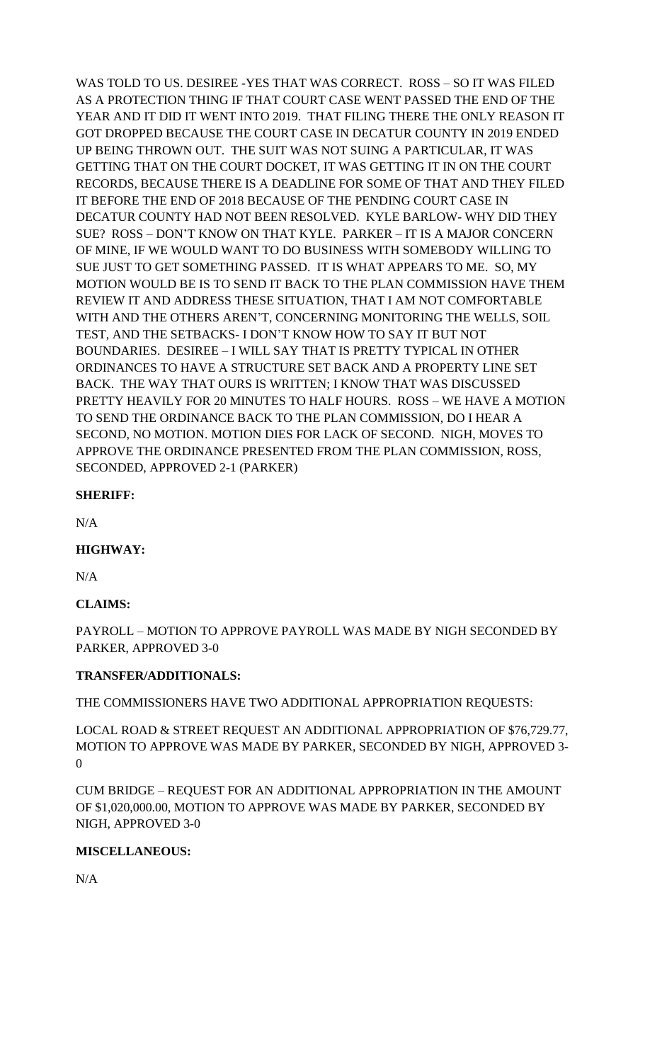WAS TOLD TO US. DESIREE -YES THAT WAS CORRECT. ROSS – SO IT WAS FILED AS A PROTECTION THING IF THAT COURT CASE WENT PASSED THE END OF THE YEAR AND IT DID IT WENT INTO 2019. THAT FILING THERE THE ONLY REASON IT GOT DROPPED BECAUSE THE COURT CASE IN DECATUR COUNTY IN 2019 ENDED UP BEING THROWN OUT. THE SUIT WAS NOT SUING A PARTICULAR, IT WAS GETTING THAT ON THE COURT DOCKET, IT WAS GETTING IT IN ON THE COURT RECORDS, BECAUSE THERE IS A DEADLINE FOR SOME OF THAT AND THEY FILED IT BEFORE THE END OF 2018 BECAUSE OF THE PENDING COURT CASE IN DECATUR COUNTY HAD NOT BEEN RESOLVED. KYLE BARLOW- WHY DID THEY SUE? ROSS – DON'T KNOW ON THAT KYLE. PARKER – IT IS A MAJOR CONCERN OF MINE, IF WE WOULD WANT TO DO BUSINESS WITH SOMEBODY WILLING TO SUE JUST TO GET SOMETHING PASSED. IT IS WHAT APPEARS TO ME. SO, MY MOTION WOULD BE IS TO SEND IT BACK TO THE PLAN COMMISSION HAVE THEM REVIEW IT AND ADDRESS THESE SITUATION, THAT I AM NOT COMFORTABLE WITH AND THE OTHERS AREN'T, CONCERNING MONITORING THE WELLS, SOIL TEST, AND THE SETBACKS- I DON'T KNOW HOW TO SAY IT BUT NOT BOUNDARIES. DESIREE – I WILL SAY THAT IS PRETTY TYPICAL IN OTHER ORDINANCES TO HAVE A STRUCTURE SET BACK AND A PROPERTY LINE SET BACK. THE WAY THAT OURS IS WRITTEN; I KNOW THAT WAS DISCUSSED PRETTY HEAVILY FOR 20 MINUTES TO HALF HOURS. ROSS – WE HAVE A MOTION TO SEND THE ORDINANCE BACK TO THE PLAN COMMISSION, DO I HEAR A SECOND, NO MOTION. MOTION DIES FOR LACK OF SECOND. NIGH, MOVES TO APPROVE THE ORDINANCE PRESENTED FROM THE PLAN COMMISSION, ROSS, SECONDED, APPROVED 2-1 (PARKER)

#### **SHERIFF:**

N/A

#### **HIGHWAY:**

N/A

## **CLAIMS:**

PAYROLL – MOTION TO APPROVE PAYROLL WAS MADE BY NIGH SECONDED BY PARKER, APPROVED 3-0

#### **TRANSFER/ADDITIONALS:**

THE COMMISSIONERS HAVE TWO ADDITIONAL APPROPRIATION REQUESTS:

LOCAL ROAD & STREET REQUEST AN ADDITIONAL APPROPRIATION OF \$76,729.77, MOTION TO APPROVE WAS MADE BY PARKER, SECONDED BY NIGH, APPROVED 3- 0

CUM BRIDGE – REQUEST FOR AN ADDITIONAL APPROPRIATION IN THE AMOUNT OF \$1,020,000.00, MOTION TO APPROVE WAS MADE BY PARKER, SECONDED BY NIGH, APPROVED 3-0

#### **MISCELLANEOUS:**

N/A